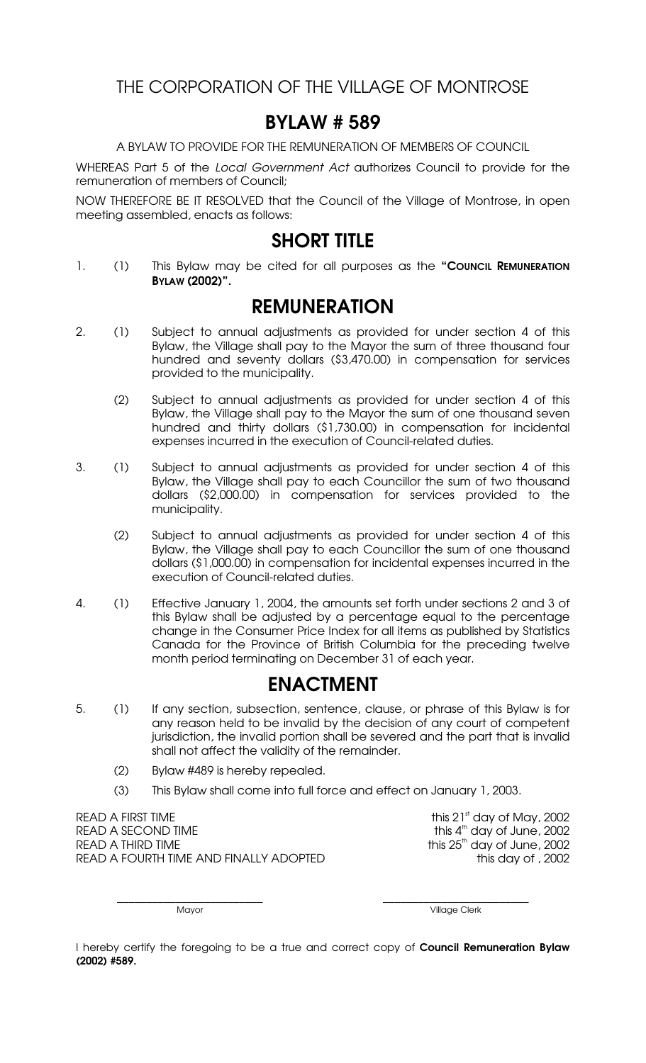THE CORPORATION OF THE VILLAGE OF MONTROSE

## BYLAW # 589

A BYLAW TO PROVIDE FOR THE REMUNERATION OF MEMBERS OF COUNCIL

WHEREAS Part 5 of the *Local Government Act* authorizes Council to provide for the remuneration of members of Council;

NOW THEREFORE BE IT RESOLVED that the Council of the Village of Montrose, in open meeting assembled, enacts as follows:

## SHORT TITLE

1. (1) This Bylaw may be cited for all purposes as the "Council REMUNERATION BYLAW (2002)".

## REMUNERATION

- 2. (1) Subject to annual adjustments as provided for under section 4 of this Bylaw, the Village shall pay to the Mayor the sum of three thousand four hundred and seventy dollars (\$3,470.00) in compensation for services provided to the municipality.
	- (2) Subject to annual adjustments as provided for under section 4 of this Bylaw, the Village shall pay to the Mayor the sum of one thousand seven hundred and thirty dollars (\$1,730.00) in compensation for incidental expenses incurred in the execution of Council-related duties.
- 3. (1) Subject to annual adjustments as provided for under section 4 of this Bylaw, the Village shall pay to each Councillor the sum of two thousand dollars (\$2,000.00) in compensation for services provided to the municipality.
	- (2) Subject to annual adjustments as provided for under section 4 of this Bylaw, the Village shall pay to each Councillor the sum of one thousand dollars (\$1,000.00) in compensation for incidental expenses incurred in the execution of Council-related duties.
- 4. (1) Effective January 1, 2004, the amounts set forth under sections 2 and 3 of this Bylaw shall be adjusted by a percentage equal to the percentage change in the Consumer Price Index for all items as published by Statistics Canada for the Province of British Columbia for the preceding twelve month period terminating on December 31 of each year.

## ENACTMENT

- 5. (1) If any section, subsection, sentence, clause, or phrase of this Bylaw is for any reason held to be invalid by the decision of any court of competent jurisdiction, the invalid portion shall be severed and the part that is invalid shall not affect the validity of the remainder.
	- (2) Bylaw #489 is hereby repealed.
	- (3) This Bylaw shall come into full force and effect on January 1, 2003.

READ A FIRST TIME  $\qquad \qquad$  this 21st day of May, 2002 READ A SECOND TIME READ A THIRD TIME  $\qquad \qquad$  this 25<sup>th</sup> day of June, 2002 READ A FOURTH TIME AND FINALLY ADOPTED this day of , 2002

this 4<sup>th</sup> day of June, 2002

\_\_\_\_\_\_\_\_\_\_\_\_\_\_\_\_\_\_\_\_\_\_\_\_\_ \_\_\_\_\_\_\_\_\_\_\_\_\_\_\_\_\_\_\_\_\_\_\_\_\_

Mayor **Mayor** Village Clerk

I hereby certify the foregoing to be a true and correct copy of Council Remuneration Bylaw (2002) #589.